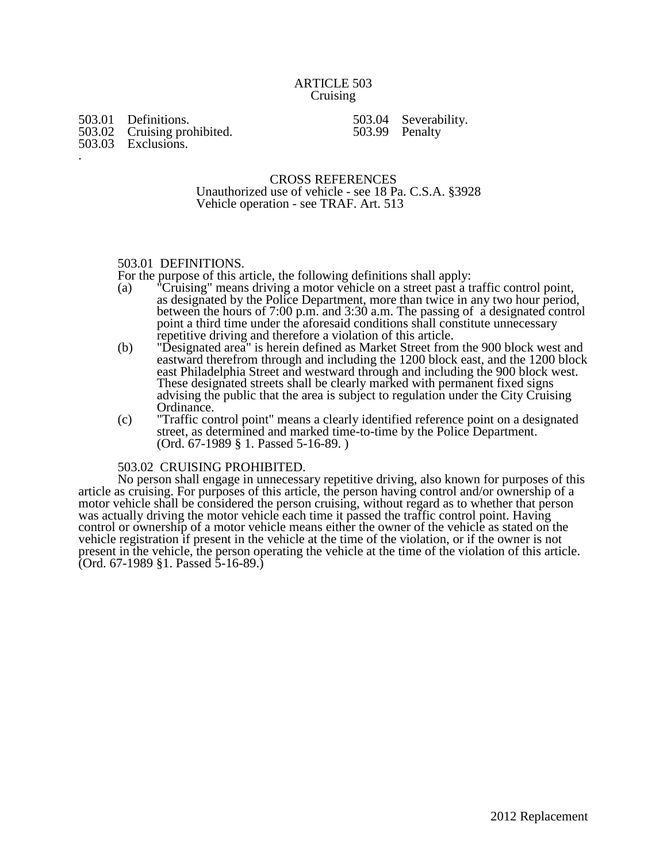## ARTICLE 503 Cruising

503.01 Definitions.<br>503.02 Cruising prohibited.

.

503.02 Cruising prohibited. 503.03 Exclusions.

503.04 Severability. 503.99 Penalty

CROSS REFERENCES Unauthorized use of vehicle - see 18 Pa. C.S.A. §3928 Vehicle operation - see TRAF. Art. 513

# 503.01 DEFINITIONS.

For the purpose of this article, the following definitions shall apply:

- (a) "Cruising" means driving a motor vehicle on a street past a traffic control point, as designated by the Police Department, more than twice in any two hour period, between the hours of 7:00 p.m. and 3:30 a.m. The passing of a designated control point a third time under the aforesaid conditions shall constitute unnecessary repetitive driving and therefore a violation of this article.
- (b) "Designated area" is herein defined as Market Street from the 900 block west and eastward therefrom through and including the 1200 block east, and the 1200 block east Philadelphia Street and westward through and including the 900 block west. These designated streets shall be clearly marked with permanent fixed signs advising the public that the area is subject to regulation under the City Cruising Ordinance.
- (c) "Traffic control point" means a clearly identified reference point on a designated street, as determined and marked time-to-time by the Police Department. (Ord. 67-1989 § 1. Passed 5-16-89. )

### 503.02 CRUISING PROHIBITED.

No person shall engage in unnecessary repetitive driving, also known for purposes of this article as cruising. For purposes of this article, the person having control and/or ownership of a motor vehicle shall be considered the person cruising, without regard as to whether that person was actually driving the motor vehicle each time it passed the traffic control point. Having control or ownership of a motor vehicle means either the owner of the vehicle as stated on the vehicle registration if present in the vehicle at the time of the violation, or if the owner is not present in the vehicle, the person operating the vehicle at the time of the violation of this article. (Ord. 67-1989 §1. Passed 5-16-89.)